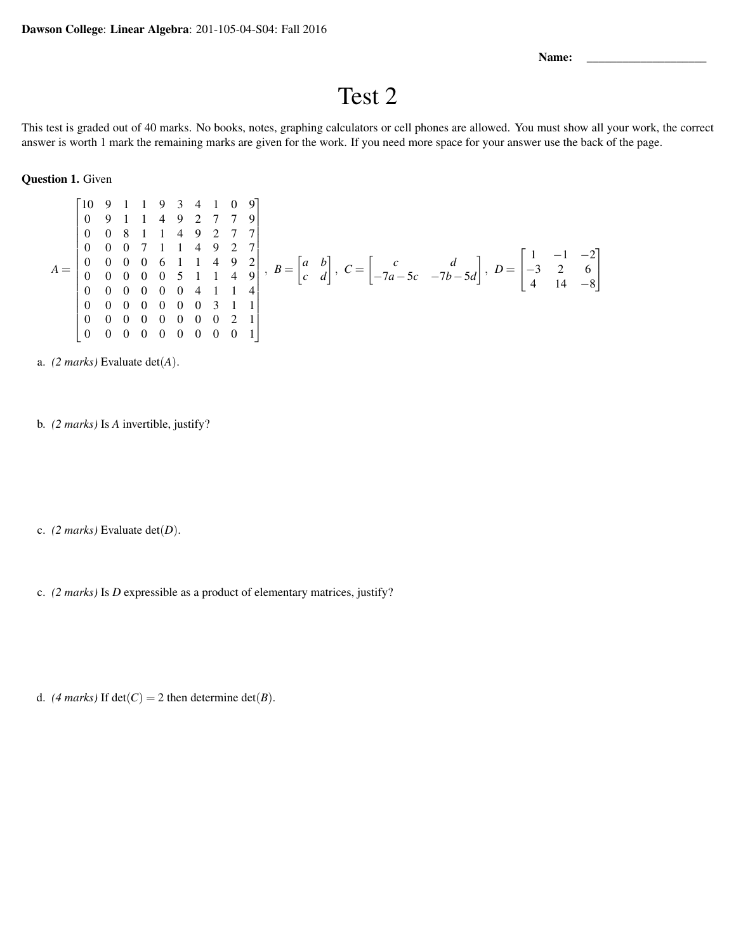Name:

## Test 2

This test is graded out of 40 marks. No books, notes, graphing calculators or cell phones are allowed. You must show all your work, the correct answer is worth 1 mark the remaining marks are given for the work. If you need more space for your answer use the back of the page.

Question 1. Given

$$
A = \begin{bmatrix} 10 & 9 & 1 & 1 & 9 & 3 & 4 & 1 & 0 & 9 \\ 0 & 9 & 1 & 1 & 4 & 9 & 2 & 7 & 7 & 9 \\ 0 & 0 & 8 & 1 & 1 & 4 & 9 & 2 & 7 \\ 0 & 0 & 0 & 0 & 6 & 1 & 1 & 4 & 9 & 2 \\ 0 & 0 & 0 & 0 & 0 & 5 & 1 & 1 & 4 & 9 \\ 0 & 0 & 0 & 0 & 0 & 0 & 4 & 1 & 1 & 4 \\ 0 & 0 & 0 & 0 & 0 & 0 & 0 & 3 & 1 & 1 \\ 0 & 0 & 0 & 0 & 0 & 0 & 0 & 0 & 2 & 1 \\ 0 & 0 & 0 & 0 & 0 & 0 & 0 & 0 & 0 & 1 \end{bmatrix}, \quad B = \begin{bmatrix} a & b \\ c & d \end{bmatrix}, \quad C = \begin{bmatrix} c & d \\ -7a - 5c & -7b - 5d \end{bmatrix}, \quad D = \begin{bmatrix} 1 & -1 & -2 \\ -3 & 2 & 6 \\ 4 & 14 & -8 \end{bmatrix}
$$

a. *(2 marks)* Evaluate det(*A*).

b. *(2 marks)* Is *A* invertible, justify?

c. *(2 marks)* Evaluate det(*D*).

c. *(2 marks)* Is *D* expressible as a product of elementary matrices, justify?

d. *(4 marks)* If  $det(C) = 2$  then determine  $det(B)$ .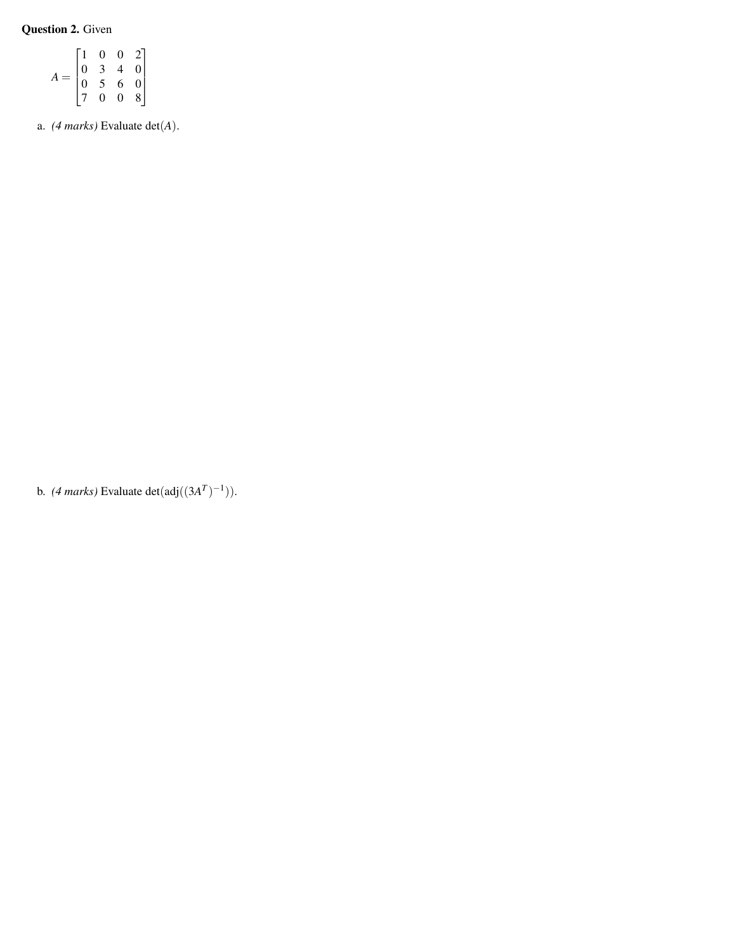Question 2. Given

|  |                                      | $\rm 0$        | 0                        | $2\vert$                                   |
|--|--------------------------------------|----------------|--------------------------|--------------------------------------------|
|  | $\begin{matrix} 0 \\ 0 \end{matrix}$ | $\frac{3}{5}$  | $\overline{\mathcal{A}}$ |                                            |
|  |                                      |                | $\overline{6}$           | $\begin{array}{c} 0 \\ 0 \\ 8 \end{array}$ |
|  |                                      | $\overline{0}$ | $\overline{0}$           |                                            |

a. *(4 marks)* Evaluate det(*A*).

b. *(4 marks)* Evaluate det $(\text{adj}((3A^T)^{-1}))$ .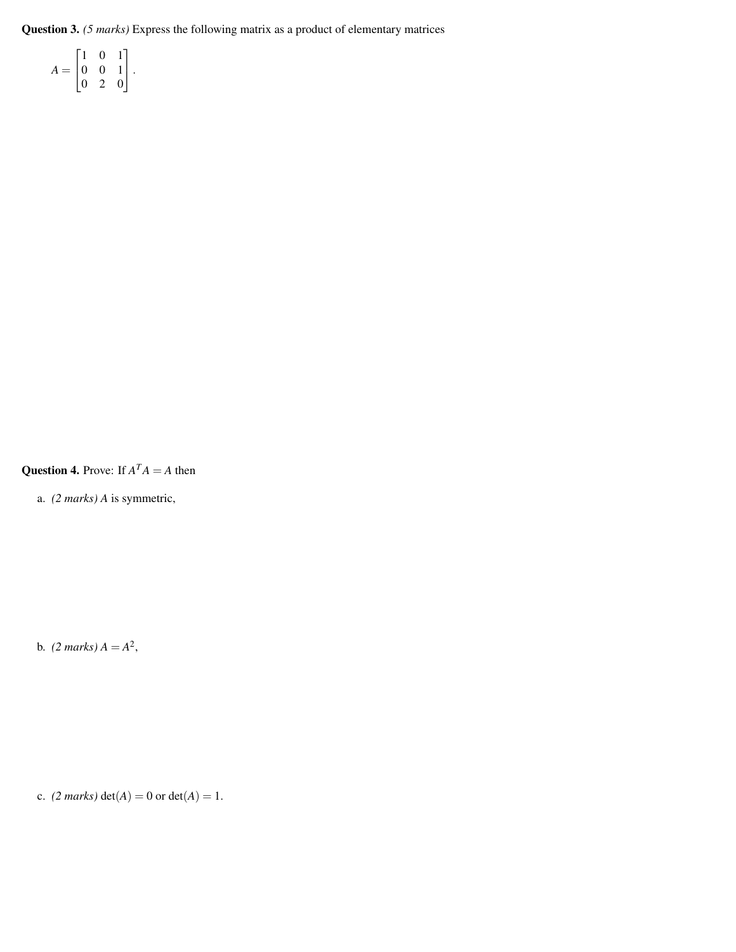Question 3. *(5 marks)* Express the following matrix as a product of elementary matrices

 $A =$  $\sqrt{ }$  $\overline{\phantom{a}}$ 1 0 1 0 0 1 0 2 0 1  $|\cdot$ 

**Question 4.** Prove: If  $A<sup>T</sup>A = A$  then

a. *(2 marks) A* is symmetric,

b.  $(2 \text{ marks}) A = A^2$ ,

c. *(2 marks)*  $det(A) = 0$  or  $det(A) = 1$ .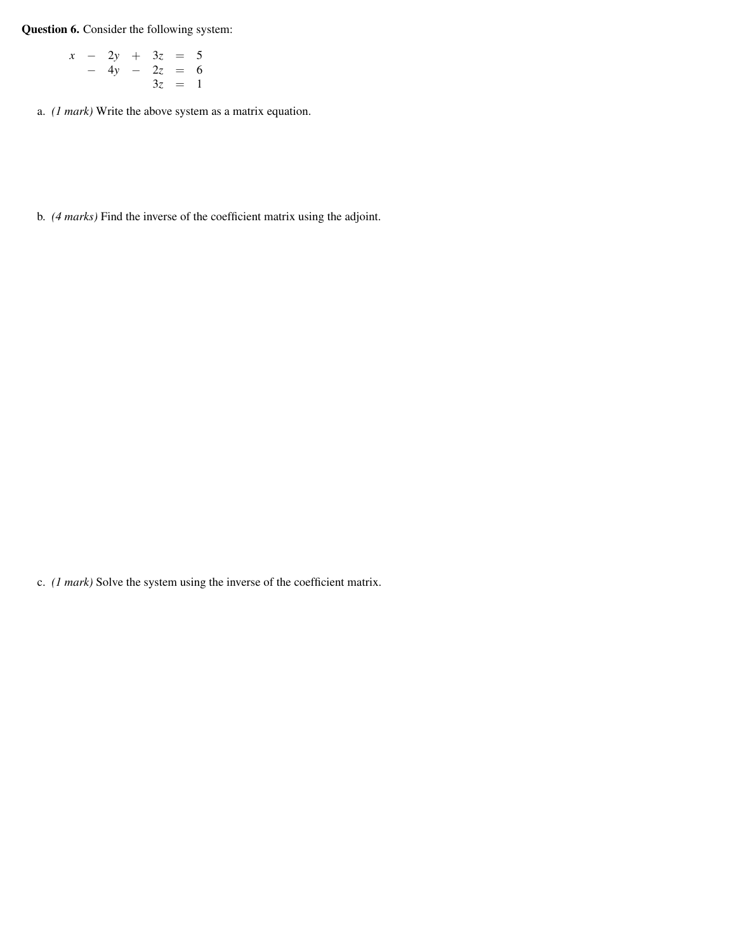Question 6. Consider the following system:

$$
\begin{array}{rcl}\nx & - & 2y & + & 3z & = & 5 \\
& - & 4y & - & 2z & = & 6 \\
& & 3z & = & 1\n\end{array}
$$

a. *(1 mark)* Write the above system as a matrix equation.

b. *(4 marks)* Find the inverse of the coefficient matrix using the adjoint.

c. *(1 mark)* Solve the system using the inverse of the coefficient matrix.